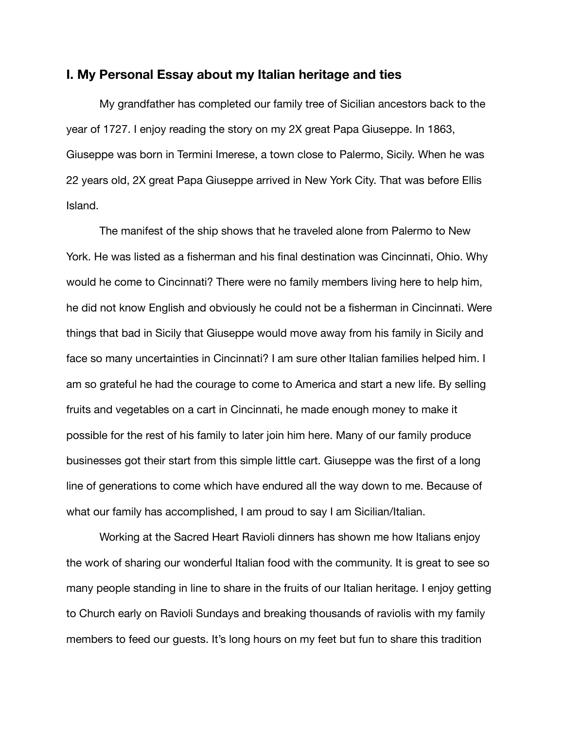## **I. My Personal Essay about my Italian heritage and ties**

My grandfather has completed our family tree of Sicilian ancestors back to the year of 1727. I enjoy reading the story on my 2X great Papa Giuseppe. In 1863, Giuseppe was born in Termini Imerese, a town close to Palermo, Sicily. When he was 22 years old, 2X great Papa Giuseppe arrived in New York City. That was before Ellis Island.

The manifest of the ship shows that he traveled alone from Palermo to New York. He was listed as a fisherman and his final destination was Cincinnati, Ohio. Why would he come to Cincinnati? There were no family members living here to help him, he did not know English and obviously he could not be a fisherman in Cincinnati. Were things that bad in Sicily that Giuseppe would move away from his family in Sicily and face so many uncertainties in Cincinnati? I am sure other Italian families helped him. I am so grateful he had the courage to come to America and start a new life. By selling fruits and vegetables on a cart in Cincinnati, he made enough money to make it possible for the rest of his family to later join him here. Many of our family produce businesses got their start from this simple little cart. Giuseppe was the first of a long line of generations to come which have endured all the way down to me. Because of what our family has accomplished, I am proud to say I am Sicilian/Italian.

Working at the Sacred Heart Ravioli dinners has shown me how Italians enjoy the work of sharing our wonderful Italian food with the community. It is great to see so many people standing in line to share in the fruits of our Italian heritage. I enjoy getting to Church early on Ravioli Sundays and breaking thousands of raviolis with my family members to feed our guests. It's long hours on my feet but fun to share this tradition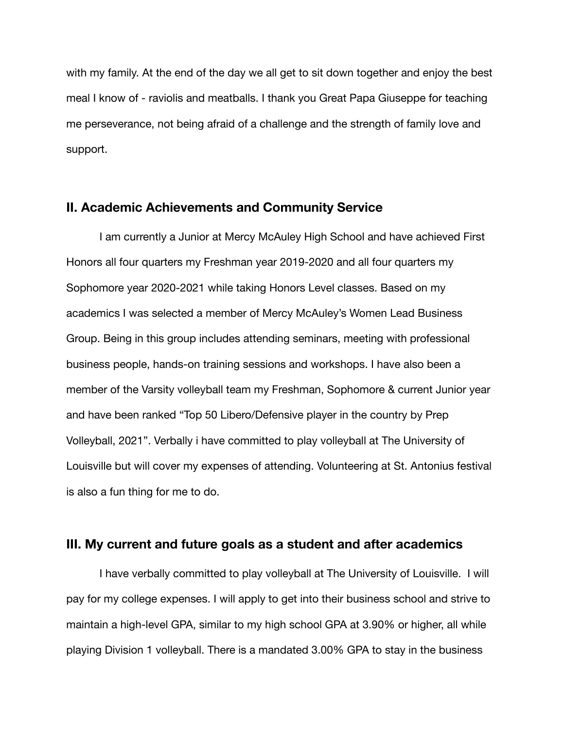with my family. At the end of the day we all get to sit down together and enjoy the best meal I know of - raviolis and meatballs. I thank you Great Papa Giuseppe for teaching me perseverance, not being afraid of a challenge and the strength of family love and support.

## **II. Academic Achievements and Community Service**

I am currently a Junior at Mercy McAuley High School and have achieved First Honors all four quarters my Freshman year 2019-2020 and all four quarters my Sophomore year 2020-2021 while taking Honors Level classes. Based on my academics I was selected a member of Mercy McAuley's Women Lead Business Group. Being in this group includes attending seminars, meeting with professional business people, hands-on training sessions and workshops. I have also been a member of the Varsity volleyball team my Freshman, Sophomore & current Junior year and have been ranked "Top 50 Libero/Defensive player in the country by Prep Volleyball, 2021". Verbally i have committed to play volleyball at The University of Louisville but will cover my expenses of attending. Volunteering at St. Antonius festival is also a fun thing for me to do.

## **III. My current and future goals as a student and after academics**

I have verbally committed to play volleyball at The University of Louisville. I will pay for my college expenses. I will apply to get into their business school and strive to maintain a high-level GPA, similar to my high school GPA at 3.90% or higher, all while playing Division 1 volleyball. There is a mandated 3.00% GPA to stay in the business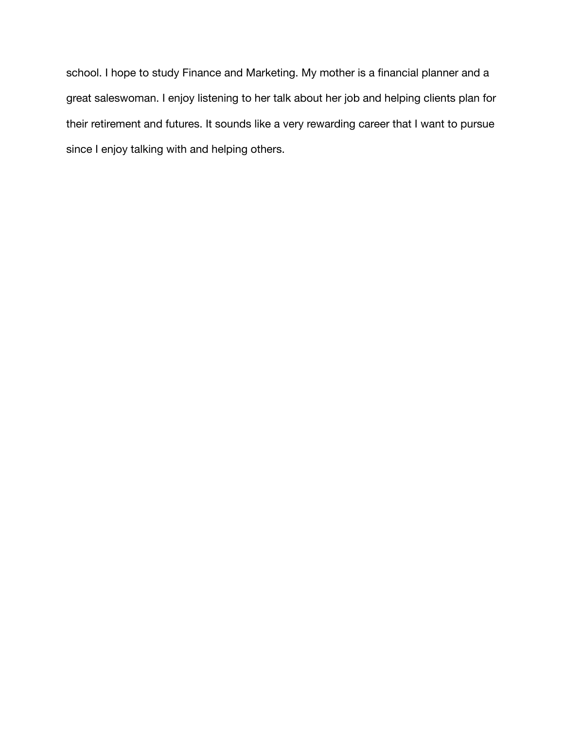school. I hope to study Finance and Marketing. My mother is a financial planner and a great saleswoman. I enjoy listening to her talk about her job and helping clients plan for their retirement and futures. It sounds like a very rewarding career that I want to pursue since I enjoy talking with and helping others.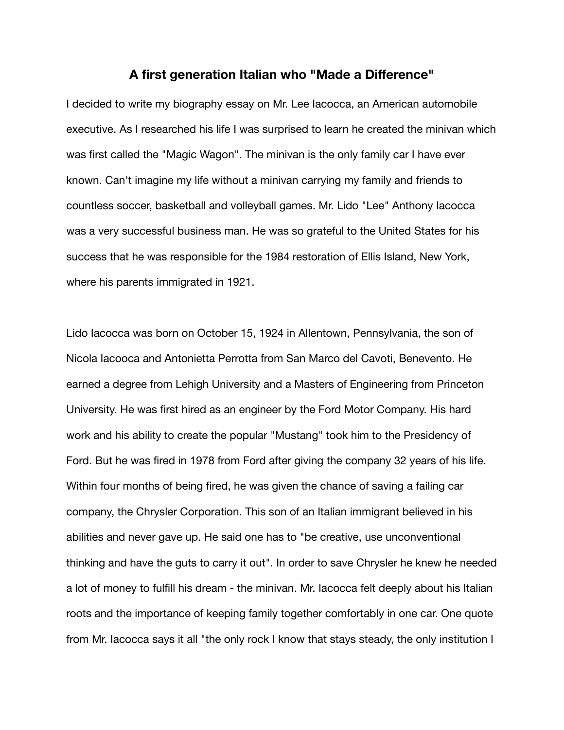## **A first generation Italian who "Made a Difference"**

I decided to write my biography essay on Mr. Lee Iacocca, an American automobile executive. As I researched his life I was surprised to learn he created the minivan which was first called the "Magic Wagon". The minivan is the only family car I have ever known. Can't imagine my life without a minivan carrying my family and friends to countless soccer, basketball and volleyball games. Mr. Lido "Lee" Anthony Iacocca was a very successful business man. He was so grateful to the United States for his success that he was responsible for the 1984 restoration of Ellis Island, New York, where his parents immigrated in 1921.

Lido Iacocca was born on October 15, 1924 in Allentown, Pennsylvania, the son of Nicola Iacooca and Antonietta Perrotta from San Marco del Cavoti, Benevento. He earned a degree from Lehigh University and a Masters of Engineering from Princeton University. He was first hired as an engineer by the Ford Motor Company. His hard work and his ability to create the popular "Mustang" took him to the Presidency of Ford. But he was fired in 1978 from Ford after giving the company 32 years of his life. Within four months of being fired, he was given the chance of saving a failing car company, the Chrysler Corporation. This son of an Italian immigrant believed in his abilities and never gave up. He said one has to "be creative, use unconventional thinking and have the guts to carry it out". In order to save Chrysler he knew he needed a lot of money to fulfill his dream - the minivan. Mr. Iacocca felt deeply about his Italian roots and the importance of keeping family together comfortably in one car. One quote from Mr. Iacocca says it all "the only rock I know that stays steady, the only institution I